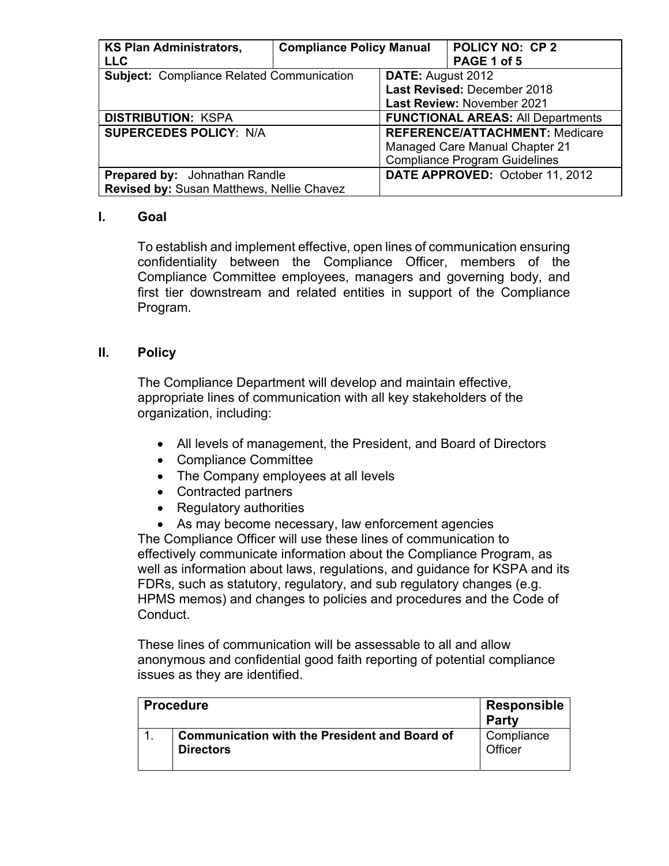| <b>KS Plan Administrators,</b>                   | <b>Compliance Policy Manual</b> |                                          | <b>POLICY NO: CP 2</b>                |
|--------------------------------------------------|---------------------------------|------------------------------------------|---------------------------------------|
| <b>LLC</b>                                       |                                 |                                          | PAGE 1 of 5                           |
| <b>Subject: Compliance Related Communication</b> |                                 | <b>DATE:</b> August 2012                 |                                       |
|                                                  |                                 |                                          | Last Revised: December 2018           |
|                                                  |                                 | Last Review: November 2021               |                                       |
| <b>DISTRIBUTION: KSPA</b>                        |                                 | <b>FUNCTIONAL AREAS: All Departments</b> |                                       |
| <b>SUPERCEDES POLICY: N/A</b>                    |                                 |                                          | <b>REFERENCE/ATTACHMENT: Medicare</b> |
|                                                  |                                 |                                          | <b>Managed Care Manual Chapter 21</b> |
|                                                  |                                 |                                          | <b>Compliance Program Guidelines</b>  |
| <b>Prepared by:</b> Johnathan Randle             |                                 |                                          | DATE APPROVED: October 11, 2012       |
| Revised by: Susan Matthews, Nellie Chavez        |                                 |                                          |                                       |

## **I. Goal**

To establish and implement effective, open lines of communication ensuring confidentiality between the Compliance Officer, members of the Compliance Committee employees, managers and governing body, and first tier downstream and related entities in support of the Compliance Program.

## **II. Policy**

The Compliance Department will develop and maintain effective, appropriate lines of communication with all key stakeholders of the organization, including:

- All levels of management, the President, and Board of Directors
- Compliance Committee
- The Company employees at all levels
- Contracted partners
- Regulatory authorities

 As may become necessary, law enforcement agencies The Compliance Officer will use these lines of communication to effectively communicate information about the Compliance Program, as well as information about laws, regulations, and guidance for KSPA and its FDRs, such as statutory, regulatory, and sub regulatory changes (e.g. HPMS memos) and changes to policies and procedures and the Code of Conduct.

These lines of communication will be assessable to all and allow anonymous and confidential good faith reporting of potential compliance issues as they are identified.

|  | <b>Procedure</b>                                                         | Responsible<br><b>Party</b> |
|--|--------------------------------------------------------------------------|-----------------------------|
|  | <b>Communication with the President and Board of</b><br><b>Directors</b> | Compliance<br>Officer       |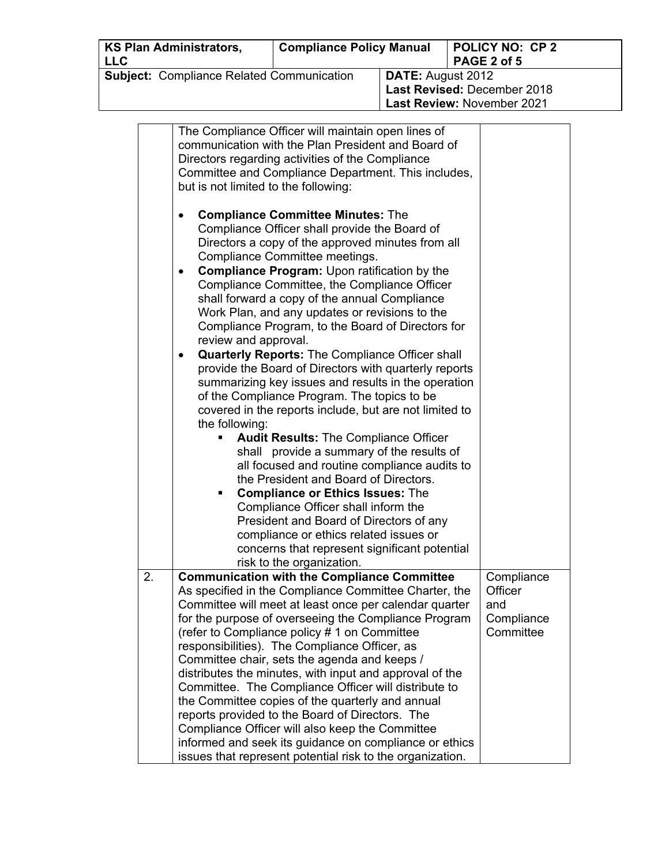| <b>KS Plan Administrators,</b>                   |                      | <b>Compliance Policy Manual</b>                                                                             |                   | <b>POLICY NO: CP2</b>       |  |
|--------------------------------------------------|----------------------|-------------------------------------------------------------------------------------------------------------|-------------------|-----------------------------|--|
| <b>LLC</b>                                       |                      |                                                                                                             |                   | PAGE 2 of 5                 |  |
| <b>Subject: Compliance Related Communication</b> |                      |                                                                                                             | DATE: August 2012 |                             |  |
|                                                  |                      |                                                                                                             |                   | Last Revised: December 2018 |  |
|                                                  |                      |                                                                                                             |                   | Last Review: November 2021  |  |
|                                                  |                      |                                                                                                             |                   |                             |  |
|                                                  |                      | The Compliance Officer will maintain open lines of                                                          |                   |                             |  |
|                                                  |                      | communication with the Plan President and Board of                                                          |                   |                             |  |
|                                                  |                      | Directors regarding activities of the Compliance                                                            |                   |                             |  |
|                                                  |                      | Committee and Compliance Department. This includes,                                                         |                   |                             |  |
|                                                  |                      | but is not limited to the following:                                                                        |                   |                             |  |
|                                                  |                      |                                                                                                             |                   |                             |  |
| $\bullet$                                        |                      | <b>Compliance Committee Minutes: The</b>                                                                    |                   |                             |  |
|                                                  |                      | Compliance Officer shall provide the Board of                                                               |                   |                             |  |
|                                                  |                      | Directors a copy of the approved minutes from all                                                           |                   |                             |  |
|                                                  |                      | Compliance Committee meetings.                                                                              |                   |                             |  |
| $\bullet$                                        |                      | <b>Compliance Program: Upon ratification by the</b>                                                         |                   |                             |  |
|                                                  |                      | Compliance Committee, the Compliance Officer                                                                |                   |                             |  |
|                                                  |                      | shall forward a copy of the annual Compliance                                                               |                   |                             |  |
|                                                  |                      | Work Plan, and any updates or revisions to the                                                              |                   |                             |  |
|                                                  |                      | Compliance Program, to the Board of Directors for                                                           |                   |                             |  |
|                                                  | review and approval. |                                                                                                             |                   |                             |  |
| ٠                                                |                      | <b>Quarterly Reports: The Compliance Officer shall</b>                                                      |                   |                             |  |
|                                                  |                      | provide the Board of Directors with quarterly reports                                                       |                   |                             |  |
|                                                  |                      | summarizing key issues and results in the operation                                                         |                   |                             |  |
|                                                  |                      | of the Compliance Program. The topics to be                                                                 |                   |                             |  |
|                                                  |                      | covered in the reports include, but are not limited to                                                      |                   |                             |  |
|                                                  | the following:       |                                                                                                             |                   |                             |  |
|                                                  |                      | <b>Audit Results: The Compliance Officer</b>                                                                |                   |                             |  |
|                                                  |                      | shall provide a summary of the results of                                                                   |                   |                             |  |
|                                                  |                      | all focused and routine compliance audits to                                                                |                   |                             |  |
|                                                  |                      | the President and Board of Directors.                                                                       |                   |                             |  |
|                                                  | ٠                    | <b>Compliance or Ethics Issues: The</b>                                                                     |                   |                             |  |
|                                                  |                      | Compliance Officer shall inform the                                                                         |                   |                             |  |
|                                                  |                      | President and Board of Directors of any                                                                     |                   |                             |  |
|                                                  |                      | compliance or ethics related issues or                                                                      |                   |                             |  |
|                                                  |                      | concerns that represent significant potential                                                               |                   |                             |  |
| 2.                                               |                      | risk to the organization.                                                                                   |                   |                             |  |
|                                                  |                      | <b>Communication with the Compliance Committee</b><br>As specified in the Compliance Committee Charter, the |                   | Compliance<br>Officer       |  |
|                                                  |                      | Committee will meet at least once per calendar quarter                                                      |                   | and                         |  |
|                                                  |                      | for the purpose of overseeing the Compliance Program                                                        |                   | Compliance                  |  |
|                                                  |                      | (refer to Compliance policy # 1 on Committee                                                                |                   | Committee                   |  |
|                                                  |                      | responsibilities). The Compliance Officer, as                                                               |                   |                             |  |
|                                                  |                      | Committee chair, sets the agenda and keeps /                                                                |                   |                             |  |
|                                                  |                      | distributes the minutes, with input and approval of the                                                     |                   |                             |  |
|                                                  |                      | Committee. The Compliance Officer will distribute to                                                        |                   |                             |  |
|                                                  |                      | the Committee copies of the quarterly and annual                                                            |                   |                             |  |
|                                                  |                      | reports provided to the Board of Directors. The                                                             |                   |                             |  |
|                                                  |                      | Compliance Officer will also keep the Committee                                                             |                   |                             |  |
|                                                  |                      | informed and seek its guidance on compliance or ethics                                                      |                   |                             |  |
|                                                  |                      | issues that represent potential risk to the organization.                                                   |                   |                             |  |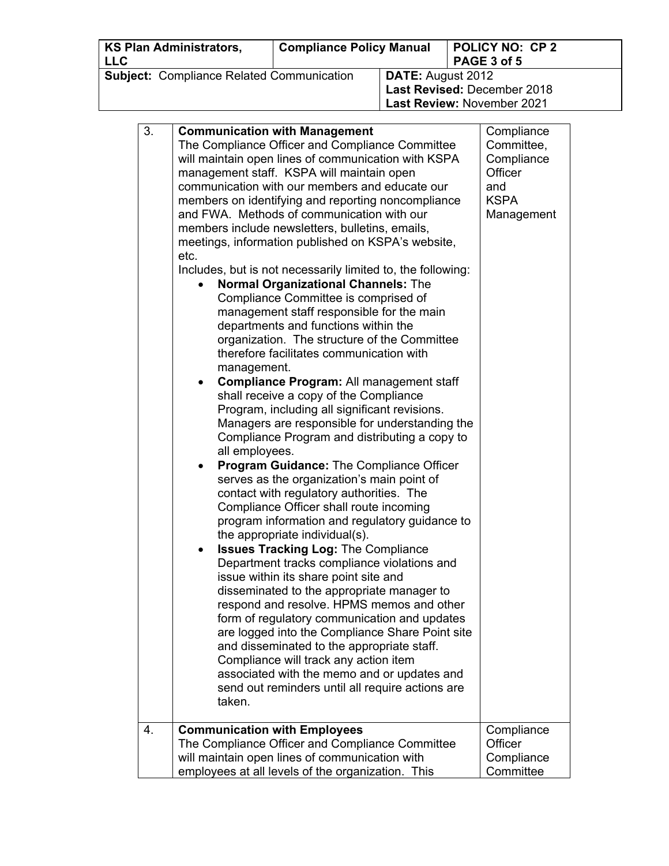| <b>KS Plan Administrators,</b><br><b>LLC</b>     | <b>Compliance Policy Manual</b> |                          | <b>POLICY NO: CP 2</b><br>PAGE 3 of 5 |
|--------------------------------------------------|---------------------------------|--------------------------|---------------------------------------|
| <b>Subject: Compliance Related Communication</b> |                                 | <b>DATE:</b> August 2012 |                                       |
|                                                  |                                 |                          | Last Revised: December 2018           |
|                                                  |                                 |                          | Last Review: November 2021            |

| 3. | <b>Communication with Management</b><br>The Compliance Officer and Compliance Committee<br>will maintain open lines of communication with KSPA<br>management staff. KSPA will maintain open<br>communication with our members and educate our<br>members on identifying and reporting noncompliance<br>and FWA. Methods of communication with our<br>members include newsletters, bulletins, emails,<br>meetings, information published on KSPA's website,<br>etc.<br>Includes, but is not necessarily limited to, the following:<br><b>Normal Organizational Channels: The</b><br>Compliance Committee is comprised of<br>management staff responsible for the main<br>departments and functions within the<br>organization. The structure of the Committee<br>therefore facilitates communication with<br>management.<br>Compliance Program: All management staff<br>shall receive a copy of the Compliance<br>Program, including all significant revisions.<br>Managers are responsible for understanding the<br>Compliance Program and distributing a copy to<br>all employees.<br><b>Program Guidance: The Compliance Officer</b><br>$\bullet$<br>serves as the organization's main point of<br>contact with regulatory authorities. The<br>Compliance Officer shall route incoming<br>program information and regulatory guidance to<br>the appropriate individual(s).<br><b>Issues Tracking Log: The Compliance</b><br>٠<br>Department tracks compliance violations and<br>issue within its share point site and<br>disseminated to the appropriate manager to<br>respond and resolve. HPMS memos and other<br>form of regulatory communication and updates<br>are logged into the Compliance Share Point site<br>and disseminated to the appropriate staff.<br>Compliance will track any action item<br>associated with the memo and or updates and<br>send out reminders until all require actions are<br>taken. | Compliance<br>Committee,<br>Compliance<br>Officer<br>and<br><b>KSPA</b><br>Management |
|----|---------------------------------------------------------------------------------------------------------------------------------------------------------------------------------------------------------------------------------------------------------------------------------------------------------------------------------------------------------------------------------------------------------------------------------------------------------------------------------------------------------------------------------------------------------------------------------------------------------------------------------------------------------------------------------------------------------------------------------------------------------------------------------------------------------------------------------------------------------------------------------------------------------------------------------------------------------------------------------------------------------------------------------------------------------------------------------------------------------------------------------------------------------------------------------------------------------------------------------------------------------------------------------------------------------------------------------------------------------------------------------------------------------------------------------------------------------------------------------------------------------------------------------------------------------------------------------------------------------------------------------------------------------------------------------------------------------------------------------------------------------------------------------------------------------------------------------------------------------------------------------------------------------------------------|---------------------------------------------------------------------------------------|
| 4. | <b>Communication with Employees</b><br>The Compliance Officer and Compliance Committee<br>will maintain open lines of communication with                                                                                                                                                                                                                                                                                                                                                                                                                                                                                                                                                                                                                                                                                                                                                                                                                                                                                                                                                                                                                                                                                                                                                                                                                                                                                                                                                                                                                                                                                                                                                                                                                                                                                                                                                                                  | Compliance<br>Officer<br>Compliance                                                   |
|    | employees at all levels of the organization. This                                                                                                                                                                                                                                                                                                                                                                                                                                                                                                                                                                                                                                                                                                                                                                                                                                                                                                                                                                                                                                                                                                                                                                                                                                                                                                                                                                                                                                                                                                                                                                                                                                                                                                                                                                                                                                                                         | Committee                                                                             |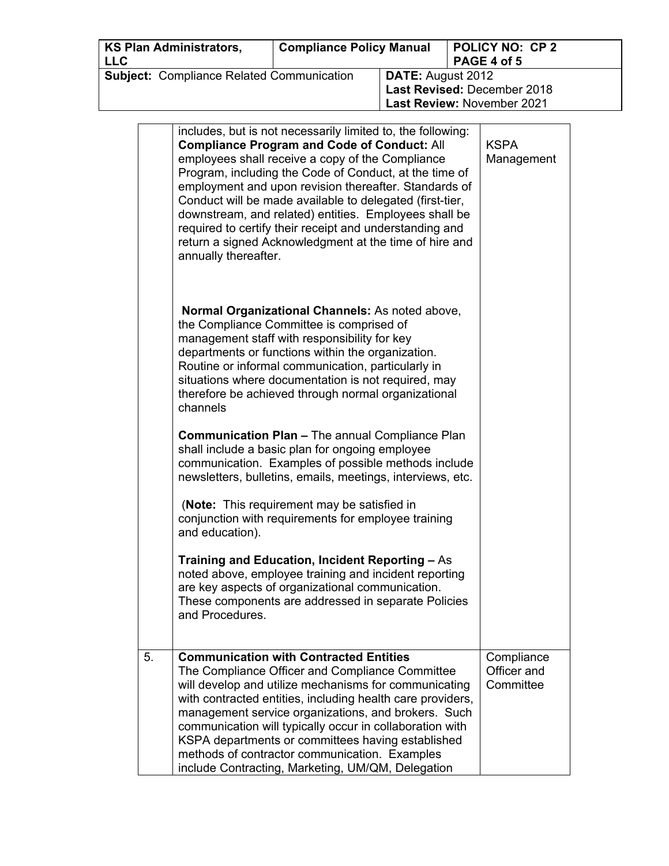| <b>KS Plan Administrators,</b><br><b>LLC</b>     | <b>Compliance Policy Manual</b> |                          | <b>POLICY NO: CP 2</b><br>PAGE 4 of 5 |
|--------------------------------------------------|---------------------------------|--------------------------|---------------------------------------|
| <b>Subject: Compliance Related Communication</b> |                                 | <b>DATE:</b> August 2012 |                                       |
|                                                  |                                 |                          | Last Revised: December 2018           |
|                                                  |                                 |                          | Last Review: November 2021            |

|    | includes, but is not necessarily limited to, the following:<br><b>Compliance Program and Code of Conduct: All</b><br>employees shall receive a copy of the Compliance<br>Program, including the Code of Conduct, at the time of<br>employment and upon revision thereafter. Standards of<br>Conduct will be made available to delegated (first-tier,<br>downstream, and related) entities. Employees shall be<br>required to certify their receipt and understanding and<br>return a signed Acknowledgment at the time of hire and<br>annually thereafter. | <b>KSPA</b><br>Management              |
|----|------------------------------------------------------------------------------------------------------------------------------------------------------------------------------------------------------------------------------------------------------------------------------------------------------------------------------------------------------------------------------------------------------------------------------------------------------------------------------------------------------------------------------------------------------------|----------------------------------------|
|    | Normal Organizational Channels: As noted above,<br>the Compliance Committee is comprised of<br>management staff with responsibility for key<br>departments or functions within the organization.<br>Routine or informal communication, particularly in<br>situations where documentation is not required, may<br>therefore be achieved through normal organizational<br>channels                                                                                                                                                                           |                                        |
|    | <b>Communication Plan - The annual Compliance Plan</b><br>shall include a basic plan for ongoing employee<br>communication. Examples of possible methods include<br>newsletters, bulletins, emails, meetings, interviews, etc.                                                                                                                                                                                                                                                                                                                             |                                        |
|    | (Note: This requirement may be satisfied in<br>conjunction with requirements for employee training<br>and education).                                                                                                                                                                                                                                                                                                                                                                                                                                      |                                        |
|    | Training and Education, Incident Reporting - As<br>noted above, employee training and incident reporting<br>are key aspects of organizational communication.<br>These components are addressed in separate Policies<br>and Procedures.                                                                                                                                                                                                                                                                                                                     |                                        |
| 5. | <b>Communication with Contracted Entities</b><br>The Compliance Officer and Compliance Committee<br>will develop and utilize mechanisms for communicating<br>with contracted entities, including health care providers,<br>management service organizations, and brokers. Such<br>communication will typically occur in collaboration with<br>KSPA departments or committees having established<br>methods of contractor communication. Examples<br>include Contracting, Marketing, UM/QM, Delegation                                                      | Compliance<br>Officer and<br>Committee |